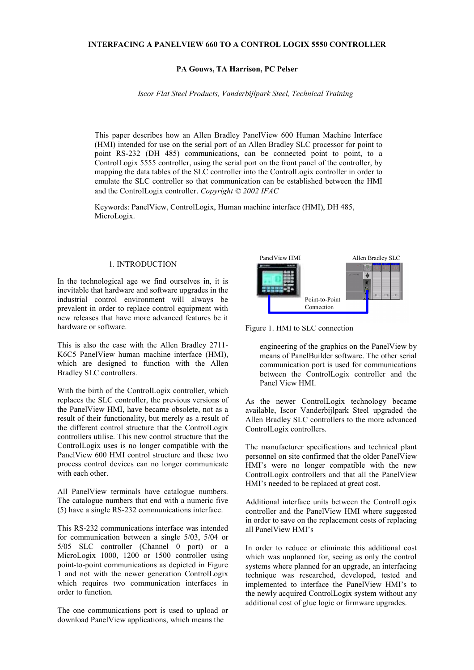### **PA Gouws, TA Harrison, PC Pelser**

*Iscor Flat Steel Products, Vanderbijlpark Steel, Technical Training*

This paper describes how an Allen Bradley PanelView 600 Human Machine Interface (HMI) intended for use on the serial port of an Allen Bradley SLC processor for point to point RS-232 (DH 485) communications, can be connected point to point, to a ControlLogix 5555 controller, using the serial port on the front panel of the controller, by mapping the data tables of the SLC controller into the ControlLogix controller in order to emulate the SLC controller so that communication can be established between the HMI and the ControlLogix controller. *Copyright © 2002 IFAC*

Keywords: PanelView, ControlLogix, Human machine interface (HMI), DH 485, MicroLogix.

#### 1. INTRODUCTION

In the technological age we find ourselves in, it is inevitable that hardware and software upgrades in the industrial control environment will always be prevalent in order to replace control equipment with new releases that have more advanced features be it hardware or software.

This is also the case with the Allen Bradley 2711- K6C5 PanelView human machine interface (HMI), which are designed to function with the Allen Bradley SLC controllers.

With the birth of the ControlLogix controller, which replaces the SLC controller, the previous versions of the PanelView HMI, have became obsolete, not as a result of their functionality, but merely as a result of the different control structure that the ControlLogix controllers utilise. This new control structure that the ControlLogix uses is no longer compatible with the PanelView 600 HMI control structure and these two process control devices can no longer communicate with each other.

All PanelView terminals have catalogue numbers. The catalogue numbers that end with a numeric five (5) have a single RS-232 communications interface.

This RS-232 communications interface was intended for communication between a single 5/03, 5/04 or 5/05 SLC controller (Channel 0 port) or a MicroLogix 1000, 1200 or 1500 controller using point-to-point communications as depicted in Figure 1 and not with the newer generation ControlLogix which requires two communication interfaces in order to function.

The one communications port is used to upload or download PanelView applications, which means the



Figure 1. HMI to SLC connection

engineering of the graphics on the PanelView by means of PanelBuilder software. The other serial communication port is used for communications between the ControlLogix controller and the Panel View HMI.

As the newer ControlLogix technology became available, Iscor Vanderbijlpark Steel upgraded the Allen Bradley SLC controllers to the more advanced ControlLogix controllers.

The manufacturer specifications and technical plant personnel on site confirmed that the older PanelView HMI's were no longer compatible with the new ControlLogix controllers and that all the PanelView HMI's needed to be replaced at great cost.

Additional interface units between the ControlLogix controller and the PanelView HMI where suggested in order to save on the replacement costs of replacing all PanelView HMI's

In order to reduce or eliminate this additional cost which was unplanned for, seeing as only the control systems where planned for an upgrade, an interfacing technique was researched, developed, tested and implemented to interface the PanelView HMI's to the newly acquired ControlLogix system without any additional cost of glue logic or firmware upgrades.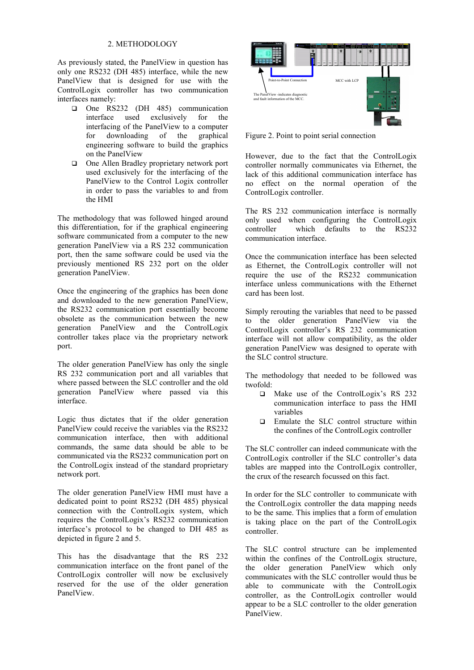# 2. METHODOLOGY

As previously stated, the PanelView in question has only one RS232 (DH 485) interface, while the new PanelView that is designed for use with the ControlLogix controller has two communication interfaces namely:

- One RS232 (DH 485) communication interface used exclusively for the interfacing of the PanelView to a computer for downloading of the graphical engineering software to build the graphics on the PanelView
- □ One Allen Bradley proprietary network port used exclusively for the interfacing of the PanelView to the Control Logix controller in order to pass the variables to and from the HMI

The methodology that was followed hinged around this differentiation, for if the graphical engineering software communicated from a computer to the new generation PanelView via a RS 232 communication port, then the same software could be used via the previously mentioned RS 232 port on the older generation PanelView.

Once the engineering of the graphics has been done and downloaded to the new generation PanelView, the RS232 communication port essentially become obsolete as the communication between the new generation PanelView and the ControlLogix controller takes place via the proprietary network port.

The older generation PanelView has only the single RS 232 communication port and all variables that where passed between the SLC controller and the old generation PanelView where passed via this interface.

Logic thus dictates that if the older generation PanelView could receive the variables via the RS232 communication interface, then with additional commands, the same data should be able to be communicated via the RS232 communication port on the ControlLogix instead of the standard proprietary network port.

The older generation PanelView HMI must have a dedicated point to point RS232 (DH 485) physical connection with the ControlLogix system, which requires the ControlLogix's RS232 communication interface's protocol to be changed to DH 485 as depicted in figure 2 and 5.

This has the disadvantage that the RS 232 communication interface on the front panel of the ControlLogix controller will now be exclusively reserved for the use of the older generation PanelView.



Figure 2. Point to point serial connection

However, due to the fact that the ControlLogix controller normally communicates via Ethernet, the lack of this additional communication interface has no effect on the normal operation of the ControlLogix controller.

The RS 232 communication interface is normally only used when configuring the ControlLogix controller which defaults to the RS232 communication interface.

Once the communication interface has been selected as Ethernet, the ControlLogix controller will not require the use of the RS232 communication interface unless communications with the Ethernet card has been lost.

Simply rerouting the variables that need to be passed to the older generation PanelView via the ControlLogix controller's RS 232 communication interface will not allow compatibility, as the older generation PanelView was designed to operate with the SLC control structure.

The methodology that needed to be followed was twofold:

- □ Make use of the ControlLogix's RS 232 communication interface to pass the HMI variables
- Emulate the SLC control structure within the confines of the ControlLogix controller

The SLC controller can indeed communicate with the ControlLogix controller if the SLC controller's data tables are mapped into the ControlLogix controller, the crux of the research focussed on this fact.

In order for the SLC controller to communicate with the ControlLogix controller the data mapping needs to be the same. This implies that a form of emulation is taking place on the part of the ControlLogix controller.

The SLC control structure can be implemented within the confines of the ControlLogix structure, the older generation PanelView which only communicates with the SLC controller would thus be able to communicate with the ControlLogix controller, as the ControlLogix controller would appear to be a SLC controller to the older generation PanelView.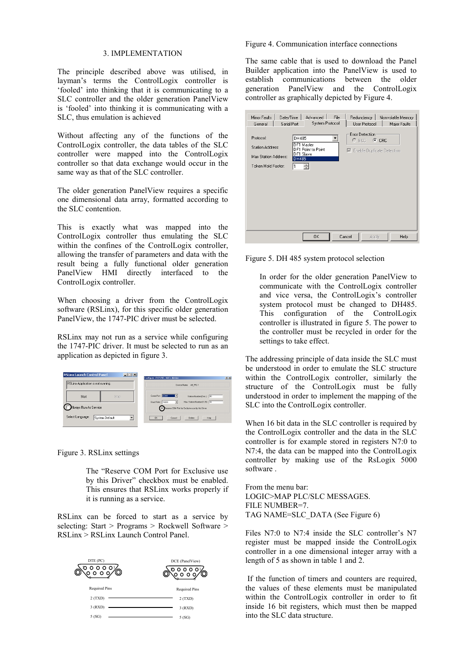#### 3. IMPLEMENTATION

The principle described above was utilised, in layman's terms the ControlLogix controller is 'fooled' into thinking that it is communicating to a SLC controller and the older generation PanelView is 'fooled' into thinking it is communicating with a SLC, thus emulation is achieved

Without affecting any of the functions of the ControlLogix controller, the data tables of the SLC controller were mapped into the ControlLogix controller so that data exchange would occur in the same way as that of the SLC controller.

The older generation PanelView requires a specific one dimensional data array, formatted according to the SLC contention.

This is exactly what was mapped into the ControlLogix controller thus emulating the SLC within the confines of the ControlLogix controller, allowing the transfer of parameters and data with the result being a fully functional older generation PanelView HMI directly interfaced to the ControlLogix controller.

When choosing a driver from the ControlLogix software (RSLinx), for this specific older generation PanelView, the 1747-PIC driver must be selected.

RSLinx may not run as a service while configuring the 1747-PIC driver. It must be selected to run as an application as depicted in figure 3.

| <b>RSLinx Launch Control Panel</b> | $-1$ $-1$ $\times$ | ? <br>Configure 1747-PIC / AIC+ device                                                       |
|------------------------------------|--------------------|----------------------------------------------------------------------------------------------|
| RSLinx Application is not running. |                    | Device Name: AB PIC-1                                                                        |
| Start                              | <b>Stop</b>        | Comm Port: <b>BOM1</b><br>٦F.<br>Station Number (Dec.]: 00<br>Max. Station Number (1-31): 77 |
| Always Run As Service              |                    | Baud Rate: 19200<br>$\mathbf{v}$<br>Reserve COM Port for Exclusive use by this Driver        |
| Select Language:<br>System Default |                    | Cancel<br>Delete<br>Help<br><b>OK</b>                                                        |

### Figure 3. RSLinx settings

The "Reserve COM Port for Exclusive use by this Driver" checkbox must be enabled. This ensures that RSLinx works properly if it is running as a service.

RSLinx can be forced to start as a service by selecting: Start > Programs > Rockwell Software > RSLinx > RSLinx Launch Control Panel.



#### Figure 4. Communication interface connections

The same cable that is used to download the Panel Builder application into the PanelView is used to establish communications between the older generation PanelView and the ControlLogix controller as graphically depicted by Figure 4.

| Minor Faults<br>General                                                     | Date/Time<br>Serial Port | Advanced<br>System Protocol                        | File   | Redundancy<br>User Protocol                                        | Nonvolatile Memory<br>Major Faults |
|-----------------------------------------------------------------------------|--------------------------|----------------------------------------------------|--------|--------------------------------------------------------------------|------------------------------------|
| Protocol:<br>Station Address:<br>Max Station Address:<br>Token Hold Factor: | DH485<br>DH485           | DF1 Master<br>DF1 Point to Point<br>DF1 Slave<br>÷ |        | Error Detection<br>$C$ BCC $C$ CRC<br>□ Enable Duplicate Detection |                                    |
|                                                                             |                          | <b>OK</b>                                          | Cancel | Apply                                                              | Help                               |

Figure 5. DH 485 system protocol selection

In order for the older generation PanelView to communicate with the ControlLogix controller and vice versa, the ControlLogix's controller system protocol must be changed to DH485. This configuration of the ControlLogix controller is illustrated in figure 5. The power to the controller must be recycled in order for the settings to take effect.

The addressing principle of data inside the SLC must be understood in order to emulate the SLC structure within the ControlLogix controller, similarly the structure of the ControlLogix must be fully understood in order to implement the mapping of the SLC into the ControlLogix controller.

When 16 bit data in the SLC controller is required by the ControlLogix controller and the data in the SLC controller is for example stored in registers N7:0 to N7:4, the data can be mapped into the ControlLogix controller by making use of the RsLogix 5000 software .

From the menu bar: LOGIC>MAP PLC/SLC MESSAGES. FILE NUMBER=7. TAG NAME=SLC\_DATA (See Figure 6)

Files N7:0 to N7:4 inside the SLC controller's N7 register must be mapped inside the ControlLogix controller in a one dimensional integer array with a length of 5 as shown in table 1 and 2.

 If the function of timers and counters are required, the values of these elements must be manipulated within the ControlLogix controller in order to fit inside 16 bit registers, which must then be mapped into the SLC data structure.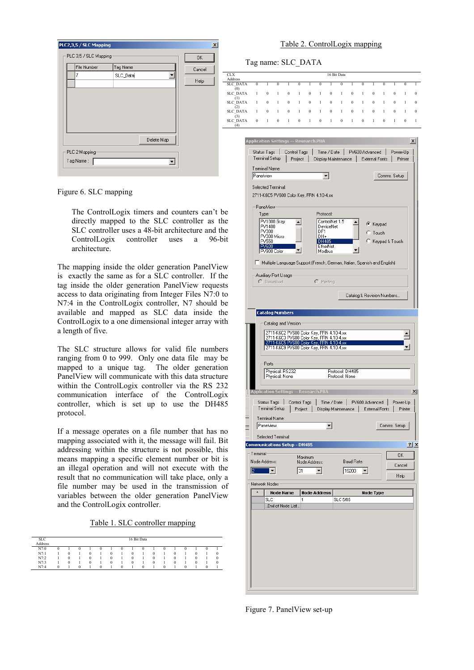| Tag Name<br>File Number<br>Cancel<br>SLC_Data<br>Help | PLC2,3,5 / SLC Mapping<br>PLC 3,5 / SLC Mapping |  | $\vert x \vert$ |
|-------------------------------------------------------|-------------------------------------------------|--|-----------------|
| Delete Map<br>PLC 2 Mapping<br>Tag Name:              |                                                 |  | OK              |

Figure 6. SLC mapping

The ControlLogix timers and counters can't be directly mapped to the SLC controller as the SLC controller uses a 48-bit architecture and the ControlLogix controller uses a 96-bit architecture.

The mapping inside the older generation PanelView is exactly the same as for a SLC controller. If the tag inside the older generation PanelView requests access to data originating from Integer Files N7:0 to N7:4 in the ControlLogix controller, N7 should be available and mapped as SLC data inside the ControlLogix to a one dimensional integer array with a length of five.

The SLC structure allows for valid file numbers ranging from 0 to 999. Only one data file may be mapped to a unique tag. The older generation PanelView will communicate with this data structure within the ControlLogix controller via the RS 232 communication interface of the ControlLogix controller, which is set up to use the DH485 protocol.

If a message operates on a file number that has no mapping associated with it, the message will fail. Bit addressing within the structure is not possible, this means mapping a specific element number or bit is an illegal operation and will not execute with the result that no communication will take place, only a file number may be used in the transmission of variables between the older generation PanelView and the ControlLogix controller.

Table 1. SLC controller mapping

| <b>SLC</b> |          |  |   |          |          |          |              | 16 Bit Data |  |  |    |  |
|------------|----------|--|---|----------|----------|----------|--------------|-------------|--|--|----|--|
| Address    |          |  |   |          |          |          |              |             |  |  |    |  |
| N7:0       | v        |  |   |          |          |          |              |             |  |  | ., |  |
| N7:1       |          |  | о |          | $\Omega$ |          | $\mathbf{u}$ |             |  |  |    |  |
| N7:2       |          |  | о |          | $\theta$ |          |              |             |  |  |    |  |
| N7:3       |          |  |   |          | л        |          |              |             |  |  |    |  |
| N7:4       | $\Omega$ |  |   | $\Omega$ |          | $\Omega$ |              | $\Omega$    |  |  |    |  |
|            |          |  |   |          |          |          |              |             |  |  |    |  |

### Table 2. ControlLogix mapping

|                             | Tag name: SLC DATA                   |                   |                                                                                      |                  |                         |                          |                     |                  |                 |                            |                      |                 |                       |              |                     |                 |
|-----------------------------|--------------------------------------|-------------------|--------------------------------------------------------------------------------------|------------------|-------------------------|--------------------------|---------------------|------------------|-----------------|----------------------------|----------------------|-----------------|-----------------------|--------------|---------------------|-----------------|
| CLX<br>Address              |                                      |                   |                                                                                      |                  |                         |                          |                     |                  | 16 Bit Data     |                            |                      |                 |                       |              |                     |                 |
| SLC_DATA                    | $\bf{0}$                             | 1                 | $\bf{0}$                                                                             | 1                | $\bf{0}$                | 1                        | $\bf{0}$            | 1                | $\theta$        | 1                          | $\bf{0}$             | 1               | $\bf{0}$              | 1            | $\bf{0}$            | 1               |
| (0)<br>SLC_DATA             | 1                                    | $\boldsymbol{0}$  | 1                                                                                    | $\boldsymbol{0}$ | 1                       | $\boldsymbol{0}$         | 1                   | $\bf{0}$         | 1               | $\bf{0}$                   | 1                    | $\bf{0}$        | 1                     | $\bf{0}$     | 1                   | $\bf{0}$        |
| $^{(1)}$<br><b>SLC_DATA</b> | 1                                    | $\mathbf{0}$      | $\mathbf{I}$                                                                         | $\mathbf{0}$     | $\mathbf{1}$            | $\mathbf{0}$             | $\mathbf{1}$        | $\mathbf{0}$     | $\mathbf{1}$    | $\boldsymbol{0}$           | 1                    | $\bf{0}$        | 1                     | $\bf{0}$     | 1                   | $\bf{0}$        |
| (2)<br>SLC DATA             | 1                                    | $\boldsymbol{0}$  | 1                                                                                    | $\bf{0}$         | 1                       | $\boldsymbol{0}$         | 1                   | $\boldsymbol{0}$ | $\mathbf{1}$    | $\bf{0}$                   | 1                    | $\bf{0}$        | 1                     | $\bf{0}$     | 1                   | $\bf{0}$        |
| (3)<br>SLC DATA             | $\Omega$                             | 1                 | $\bf{0}$                                                                             | 1                | $\bf{0}$                | 1                        | $\Omega$            | 1                | $\bf{0}$        | 1                          | $\bf{0}$             | 1               | $\boldsymbol{0}$      | 1            | $\bf{0}$            | 1               |
| (4)                         |                                      |                   |                                                                                      |                  |                         |                          |                     |                  |                 |                            |                      |                 |                       |              |                     |                 |
|                             | Application Settings -- Research.PBA |                   |                                                                                      |                  |                         |                          |                     |                  |                 |                            |                      |                 |                       |              |                     | $\vert x \vert$ |
|                             |                                      | Status Tags I     |                                                                                      |                  |                         |                          |                     |                  |                 |                            | PV600 Advanced       |                 |                       |              |                     |                 |
|                             |                                      | Terminal Setup    |                                                                                      |                  | Control Tags<br>Project |                          | Display Maintenance | Time / Date      |                 |                            |                      | External Fonts  |                       |              | Power-Up<br>Printer |                 |
|                             | Terminal Name:                       |                   |                                                                                      |                  |                         |                          |                     |                  |                 |                            |                      |                 |                       |              |                     |                 |
|                             | Panelview                            |                   |                                                                                      |                  |                         |                          |                     | ▾                |                 |                            |                      |                 | Comms. Setup          |              |                     |                 |
|                             |                                      |                   |                                                                                      |                  |                         |                          |                     |                  |                 |                            |                      |                 |                       |              |                     |                 |
|                             |                                      |                   | Selected Terminal:<br>2711-K6C5 PV600 Color Key, FRN 4.10-4.xx                       |                  |                         |                          |                     |                  |                 |                            |                      |                 |                       |              |                     |                 |
|                             |                                      |                   |                                                                                      |                  |                         |                          |                     |                  |                 |                            |                      |                 |                       |              |                     |                 |
|                             |                                      | PaneMiew<br>Type: |                                                                                      |                  |                         |                          | Protocol:           |                  |                 |                            |                      |                 |                       |              |                     |                 |
|                             |                                      |                   | PV1000 Gray                                                                          |                  | ۰                       |                          |                     | ControlNet 1.5   |                 | ۰                          |                      |                 |                       |              |                     |                 |
|                             |                                      | PV1400<br>PV300   |                                                                                      |                  |                         |                          | DF1                 | DeviceNet        |                 |                            |                      | C Keypad        |                       |              |                     |                 |
|                             |                                      |                   | PV300 Micro                                                                          |                  |                         |                          | DH+                 |                  |                 |                            |                      | $\degree$ Touch |                       |              |                     |                 |
|                             |                                      | PV550<br>PV600    |                                                                                      |                  |                         |                          | <b>DH485</b>        | EtherNet         |                 |                            |                      |                 | Keypad & Touch        |              |                     |                 |
|                             |                                      |                   | PV900 Color                                                                          |                  |                         |                          | Modbus              |                  |                 |                            |                      |                 |                       |              |                     |                 |
|                             | ш                                    |                   | Multiple Language Support (French, German, Italian, Spanish and English)             |                  |                         |                          |                     |                  |                 |                            |                      |                 |                       |              |                     |                 |
|                             |                                      |                   | Auxiliary Port Usage                                                                 |                  |                         |                          |                     |                  |                 |                            |                      |                 |                       |              |                     |                 |
|                             |                                      |                   | C Download                                                                           |                  |                         |                          | $C$ Printing        |                  |                 |                            |                      |                 |                       |              |                     |                 |
|                             |                                      |                   |                                                                                      |                  |                         |                          |                     |                  |                 |                            |                      |                 |                       |              |                     |                 |
|                             |                                      |                   |                                                                                      |                  |                         |                          |                     |                  |                 | Catalog & Revision Numbers |                      |                 |                       |              |                     |                 |
|                             |                                      |                   |                                                                                      |                  |                         |                          |                     |                  |                 |                            |                      |                 |                       |              |                     |                 |
|                             |                                      |                   | <b>Catalog Numbers</b>                                                               |                  |                         |                          |                     |                  |                 |                            |                      |                 |                       |              |                     |                 |
|                             |                                      |                   | Catalog and Version                                                                  |                  |                         |                          |                     |                  |                 |                            |                      |                 |                       |              |                     |                 |
|                             |                                      |                   | 2711-K6C2 PV600 Color Key, FRN 4.10-4.xx                                             |                  |                         |                          |                     |                  |                 |                            |                      |                 |                       |              |                     |                 |
|                             |                                      |                   | 2711-K6C3 PV600 Color Key, FRN 4.10-4.xx<br>2711-K6C5 PV600 Color Key, FRN 4.10-4.xx |                  |                         |                          |                     |                  |                 |                            |                      |                 |                       |              |                     |                 |
|                             |                                      |                   | 2711-K6C9 PV600 Color Key, FRN 4.10-4.xx                                             |                  |                         |                          |                     |                  |                 |                            |                      |                 |                       |              |                     |                 |
|                             |                                      |                   |                                                                                      |                  |                         |                          |                     |                  |                 |                            |                      |                 |                       |              |                     |                 |
|                             |                                      | Ports             |                                                                                      |                  |                         |                          |                     |                  |                 |                            |                      |                 |                       |              |                     |                 |
|                             |                                      |                   | Physical: RS232<br>Physical: None                                                    |                  |                         |                          |                     |                  | Protocol: None  | Protocol: DH485            |                      |                 |                       |              |                     |                 |
|                             |                                      |                   |                                                                                      |                  |                         |                          |                     |                  |                 |                            |                      |                 |                       |              |                     |                 |
|                             | Application Settings -- Research.PBA |                   |                                                                                      |                  |                         |                          |                     |                  |                 |                            |                      |                 |                       |              |                     | $\mathbf{x}$    |
|                             |                                      |                   | Status Tags                                                                          |                  | Control Tags            |                          |                     | Time / Date      |                 |                            | PV600 Advanced       |                 |                       |              | Power-Up            |                 |
|                             |                                      |                   | Terminal Setup                                                                       |                  | Project                 |                          |                     |                  |                 | Display Maintenance        |                      |                 | <b>External Fonts</b> |              | Printer             |                 |
|                             |                                      |                   | Terminal Name:                                                                       |                  |                         |                          |                     |                  |                 |                            |                      |                 |                       |              |                     |                 |
|                             |                                      | l Panelview       |                                                                                      |                  |                         |                          |                     |                  |                 |                            |                      |                 |                       | Comms. Setup |                     |                 |
|                             |                                      |                   | Selected Terminal:                                                                   |                  |                         |                          |                     |                  |                 |                            |                      |                 |                       |              |                     |                 |
|                             | <b>Communications Setup - DH485</b>  |                   |                                                                                      |                  |                         |                          |                     |                  |                 |                            |                      |                 |                       |              |                     | $2 \times$      |
|                             | Terminal-                            |                   |                                                                                      |                  |                         |                          |                     |                  |                 |                            |                      |                 |                       |              | OΚ                  |                 |
|                             | Node Address:                        |                   |                                                                                      |                  |                         | Maximum<br>Node Address: |                     |                  |                 | Baud Rate:                 |                      |                 |                       |              |                     |                 |
|                             | 12                                   | u                 |                                                                                      |                  | 31                      |                          | ▾                   |                  |                 | 19200                      | $\blacktriangledown$ |                 |                       |              | Cancel              |                 |
|                             |                                      |                   |                                                                                      |                  |                         |                          |                     |                  |                 |                            |                      |                 |                       |              | Help                |                 |
|                             | Network Nodes                        |                   |                                                                                      |                  |                         |                          |                     |                  |                 |                            |                      |                 |                       |              |                     |                 |
|                             | $\star$                              |                   | Node Name                                                                            |                  |                         |                          | <b>Node Address</b> |                  |                 |                            |                      | Node Type       |                       |              |                     |                 |
|                             |                                      | <b>SLC</b>        | End of Node List                                                                     |                  | 1                       |                          |                     |                  | <b>SLC 5/05</b> |                            |                      |                 |                       |              |                     |                 |
|                             |                                      |                   |                                                                                      |                  |                         |                          |                     |                  |                 |                            |                      |                 |                       |              |                     |                 |
|                             |                                      |                   |                                                                                      |                  |                         |                          |                     |                  |                 |                            |                      |                 |                       |              |                     |                 |
|                             |                                      |                   |                                                                                      |                  |                         |                          |                     |                  |                 |                            |                      |                 |                       |              |                     |                 |
|                             |                                      |                   |                                                                                      |                  |                         |                          |                     |                  |                 |                            |                      |                 |                       |              |                     |                 |
|                             |                                      |                   |                                                                                      |                  |                         |                          |                     |                  |                 |                            |                      |                 |                       |              |                     |                 |
|                             |                                      |                   |                                                                                      |                  |                         |                          |                     |                  |                 |                            |                      |                 |                       |              |                     |                 |
|                             |                                      |                   |                                                                                      |                  |                         |                          |                     |                  |                 |                            |                      |                 |                       |              |                     |                 |
|                             |                                      |                   |                                                                                      |                  |                         |                          |                     |                  |                 |                            |                      |                 |                       |              |                     |                 |
|                             |                                      |                   |                                                                                      |                  |                         |                          |                     |                  |                 |                            |                      |                 |                       |              |                     |                 |
|                             |                                      |                   |                                                                                      |                  |                         |                          |                     |                  |                 |                            |                      |                 |                       |              |                     |                 |
|                             |                                      |                   |                                                                                      |                  |                         |                          |                     |                  |                 |                            |                      |                 |                       |              |                     |                 |

Figure 7. PanelView set-up